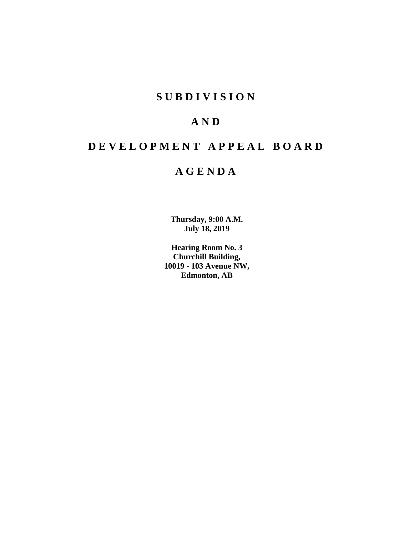# **SUBDIVISION**

# **AND**

# **DEVELOPMENT APPEAL BOARD**

# **AGENDA**

**Thursday, 9:00 A.M. July 18, 2019**

**Hearing Room No. 3 Churchill Building, 10019 - 103 Avenue NW, Edmonton, AB**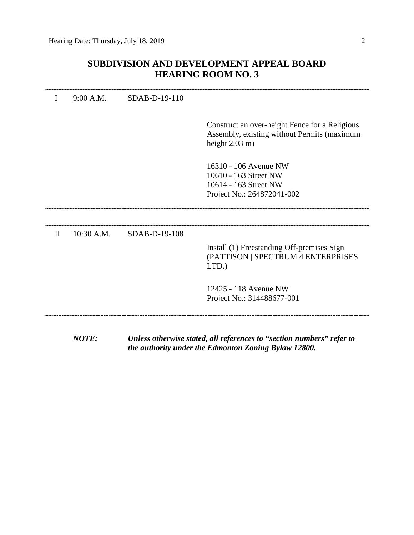# **SUBDIVISION AND DEVELOPMENT APPEAL BOARD HEARING ROOM NO. 3**

|       | 9:00 A.M.    | SDAB-D-19-110 |                                                                                               |
|-------|--------------|---------------|-----------------------------------------------------------------------------------------------|
|       |              |               |                                                                                               |
|       |              |               | Construct an over-height Fence for a Religious<br>Assembly, existing without Permits (maximum |
|       |              |               | height $2.03$ m)                                                                              |
|       |              |               | 16310 - 106 Avenue NW                                                                         |
|       |              |               | 10610 - 163 Street NW                                                                         |
|       |              |               | 10614 - 163 Street NW                                                                         |
|       |              |               | Project No.: 264872041-002                                                                    |
|       |              |               |                                                                                               |
|       |              |               |                                                                                               |
| $\Pi$ | $10:30$ A.M. | SDAB-D-19-108 |                                                                                               |
|       |              |               | Install (1) Freestanding Off-premises Sign                                                    |
|       |              |               | (PATTISON   SPECTRUM 4 ENTERPRISES                                                            |
|       |              |               | $LTD.$ )                                                                                      |
|       |              |               | 12425 - 118 Avenue NW                                                                         |
|       |              |               | Project No.: 314488677-001                                                                    |
|       |              |               |                                                                                               |
|       |              |               |                                                                                               |
|       |              |               |                                                                                               |

*NOTE: Unless otherwise stated, all references to "section numbers" refer to the authority under the Edmonton Zoning Bylaw 12800.*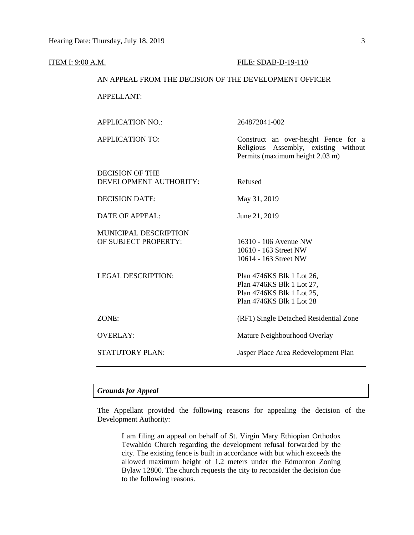#### **ITEM I: 9:00 A.M. FILE: SDAB-D-19-110**

# AN APPEAL FROM THE DECISION OF THE DEVELOPMENT OFFICER

## APPELLANT:

APPLICATION NO.: 264872041-002

APPLICATION TO: Construct an over-height Fence for a Religious Assembly, existing without Permits (maximum height 2.03 m)

DECISION OF THE DEVELOPMENT AUTHORITY: Refused

DECISION DATE: May 31, 2019

DATE OF APPEAL: June 21, 2019

MUNICIPAL DESCRIPTION OF SUBJECT PROPERTY: 16310 - 106 Avenue NW

LEGAL DESCRIPTION: Plan 4746KS Blk 1 Lot 26, Plan 4746KS Blk 1 Lot 27, Plan 4746KS Blk 1 Lot 25,

10610 - 163 Street NW 10614 - 163 Street NW

Plan 4746KS Blk 1 Lot 28

ZONE: (RF1) Single Detached Residential Zone

OVERLAY: Mature Neighbourhood Overlay

STATUTORY PLAN: Jasper Place Area Redevelopment Plan

## *Grounds for Appeal*

The Appellant provided the following reasons for appealing the decision of the Development Authority:

I am filing an appeal on behalf of St. Virgin Mary Ethiopian Orthodox Tewahido Church regarding the development refusal forwarded by the city. The existing fence is built in accordance with but which exceeds the allowed maximum height of 1.2 meters under the Edmonton Zoning Bylaw 12800. The church requests the city to reconsider the decision due to the following reasons.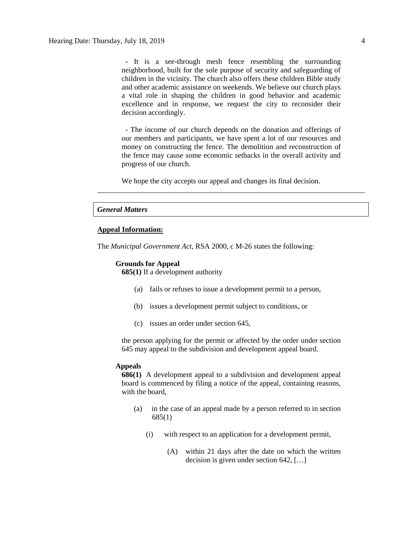- It is a see-through mesh fence resembling the surrounding neighborhood, built for the sole purpose of security and safeguarding of children in the vicinity. The church also offers these children Bible study and other academic assistance on weekends. We believe our church plays a vital role in shaping the children in good behavior and academic excellence and in response, we request the city to reconsider their decision accordingly.

 - The income of our church depends on the donation and offerings of our members and participants, we have spent a lot of our resources and money on constructing the fence. The demolition and reconstruction of the fence may cause some economic setbacks in the overall activity and progress of our church.

\_\_\_\_\_\_\_\_\_\_\_\_\_\_\_\_\_\_\_\_\_\_\_\_\_\_\_\_\_\_\_\_\_\_\_\_\_\_\_\_\_\_\_\_\_\_\_\_\_\_\_\_\_\_\_\_\_\_\_\_\_\_\_\_\_\_\_\_\_\_\_\_

We hope the city accepts our appeal and changes its final decision.

# *General Matters*

# **Appeal Information:**

The *Municipal Government Act*, RSA 2000, c M-26 states the following:

#### **Grounds for Appeal**

**685(1)** If a development authority

- (a) fails or refuses to issue a development permit to a person,
- (b) issues a development permit subject to conditions, or
- (c) issues an order under section 645,

the person applying for the permit or affected by the order under section 645 may appeal to the subdivision and development appeal board.

#### **Appeals**

**686(1)** A development appeal to a subdivision and development appeal board is commenced by filing a notice of the appeal, containing reasons, with the board,

- (a) in the case of an appeal made by a person referred to in section 685(1)
	- (i) with respect to an application for a development permit,
		- (A) within 21 days after the date on which the written decision is given under section 642, […]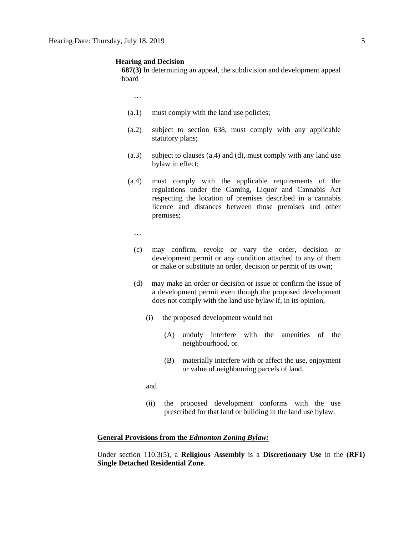#### **Hearing and Decision**

**687(3)** In determining an appeal, the subdivision and development appeal board

…

- (a.1) must comply with the land use policies;
- (a.2) subject to section 638, must comply with any applicable statutory plans;
- (a.3) subject to clauses (a.4) and (d), must comply with any land use bylaw in effect;
- (a.4) must comply with the applicable requirements of the regulations under the Gaming, Liquor and Cannabis Act respecting the location of premises described in a cannabis licence and distances between those premises and other premises;
	- …
	- (c) may confirm, revoke or vary the order, decision or development permit or any condition attached to any of them or make or substitute an order, decision or permit of its own;
	- (d) may make an order or decision or issue or confirm the issue of a development permit even though the proposed development does not comply with the land use bylaw if, in its opinion,
		- (i) the proposed development would not
			- (A) unduly interfere with the amenities of the neighbourhood, or
			- (B) materially interfere with or affect the use, enjoyment or value of neighbouring parcels of land,

and

(ii) the proposed development conforms with the use prescribed for that land or building in the land use bylaw.

## **General Provisions from the** *Edmonton Zoning Bylaw:*

Under section 110.3(5), a **Religious Assembly** is a **Discretionary Use** in the **(RF1) Single Detached Residential Zone**.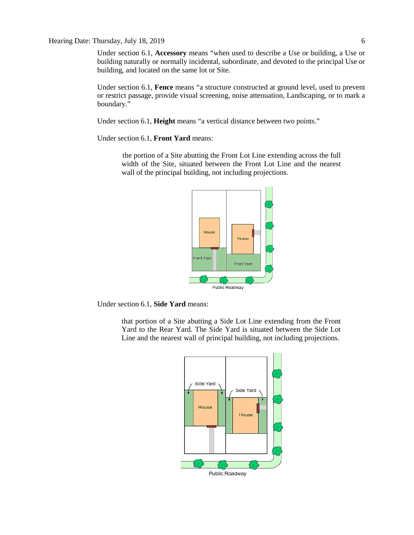# Hearing Date: Thursday, July 18, 2019 6

Under section 6.1, **Accessory** means "when used to describe a Use or building, a Use or building naturally or normally incidental, subordinate, and devoted to the principal Use or building, and located on the same lot or Site.

Under section 6.1, **Fence** means "a structure constructed at ground level, used to prevent or restrict passage, provide visual screening, noise attenuation, Landscaping, or to mark a boundary."

Under section 6.1, **Height** means "a vertical distance between two points."

Under section 6.1, **Front Yard** means:

the portion of a Site abutting the Front Lot Line extending across the full width of the Site, situated between the Front Lot Line and the nearest wall of the principal building, not including projections.



Under section 6.1, **Side Yard** means:

that portion of a Site abutting a Side Lot Line extending from the Front Yard to the Rear Yard. The Side Yard is situated between the Side Lot Line and the nearest wall of principal building, not including projections.

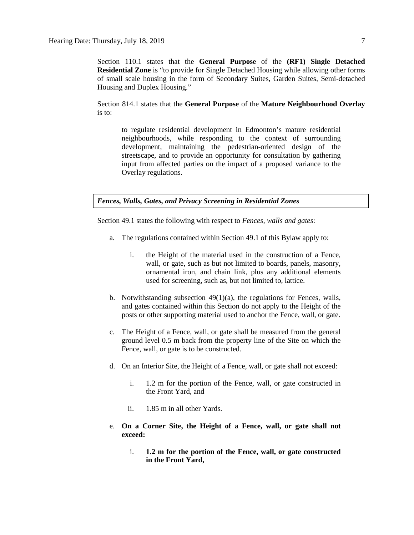Section 110.1 states that the **General Purpose** of the **(RF1) Single Detached Residential Zone** is "to provide for Single Detached Housing while allowing other forms of small scale housing in the form of Secondary Suites, Garden Suites, Semi-detached Housing and Duplex Housing."

Section 814.1 states that the **General Purpose** of the **Mature Neighbourhood Overlay** is to:

to regulate residential development in Edmonton's mature residential neighbourhoods, while responding to the context of surrounding development, maintaining the pedestrian-oriented design of the streetscape, and to provide an opportunity for consultation by gathering input from affected parties on the impact of a proposed variance to the Overlay regulations.

*Fences, Walls, Gates, and Privacy Screening in Residential Zones*

Section 49.1 states the following with respect to *Fences, walls and gates*:

- a. The regulations contained within Section 49.1 of this Bylaw apply to:
	- i. the Height of the material used in the construction of a Fence, wall, or gate, such as but not limited to boards, panels, masonry, ornamental iron, and chain link, plus any additional elements used for screening, such as, but not limited to, lattice.
- b. Notwithstanding subsection  $49(1)(a)$ , the regulations for Fences, walls, and gates contained within this Section do not apply to the Height of the posts or other supporting material used to anchor the Fence, wall, or gate.
- c. The Height of a Fence, wall, or gate shall be measured from the general ground level 0.5 m back from the property line of the Site on which the Fence, wall, or gate is to be constructed.
- d. On an Interior Site, the Height of a Fence, wall, or gate shall not exceed:
	- i. 1.2 m for the portion of the Fence, wall, or gate constructed in the Front Yard, and
	- ii. 1.85 m in all other Yards.
- e. **On a Corner Site, the Height of a Fence, wall, or gate shall not exceed:**
	- i. **1.2 m for the portion of the Fence, wall, or gate constructed in the Front Yard,**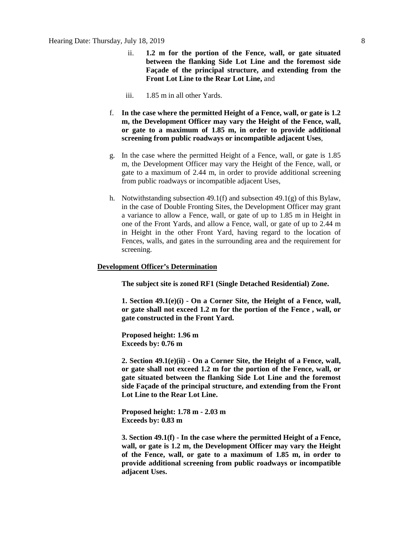- ii. **1.2 m for the portion of the Fence, wall, or gate situated between the flanking Side Lot Line and the foremost side Façade of the principal structure, and extending from the Front Lot Line to the Rear Lot Line,** and
- iii. 1.85 m in all other Yards.
- f. **In the case where the permitted Height of a Fence, wall, or gate is 1.2 m, the Development Officer may vary the Height of the Fence, wall, or gate to a maximum of 1.85 m, in order to provide additional screening from public roadways or incompatible adjacent Uses**,
- g. In the case where the permitted Height of a Fence, wall, or gate is 1.85 m, the Development Officer may vary the Height of the Fence, wall, or gate to a maximum of 2.44 m, in order to provide additional screening from public roadways or incompatible adjacent Uses,
- h. Notwithstanding subsection 49.1(f) and subsection 49.1(g) of this Bylaw, in the case of Double Fronting Sites, the Development Officer may grant a variance to allow a Fence, wall, or gate of up to 1.85 m in Height in one of the Front Yards, and allow a Fence, wall, or gate of up to 2.44 m in Height in the other Front Yard, having regard to the location of Fences, walls, and gates in the surrounding area and the requirement for screening.

### **Development Officer's Determination**

**The subject site is zoned RF1 (Single Detached Residential) Zone.**

**1. Section 49.1(e)(i) - On a Corner Site, the Height of a Fence, wall, or gate shall not exceed 1.2 m for the portion of the Fence , wall, or gate constructed in the Front Yard.**

**Proposed height: 1.96 m Exceeds by: 0.76 m**

**2. Section 49.1(e)(ii) - On a Corner Site, the Height of a Fence, wall, or gate shall not exceed 1.2 m for the portion of the Fence, wall, or gate situated between the flanking Side Lot Line and the foremost side Façade of the principal structure, and extending from the Front Lot Line to the Rear Lot Line.**

**Proposed height: 1.78 m - 2.03 m Exceeds by: 0.83 m**

**3. Section 49.1(f) - In the case where the permitted Height of a Fence, wall, or gate is 1.2 m, the Development Officer may vary the Height of the Fence, wall, or gate to a maximum of 1.85 m, in order to provide additional screening from public roadways or incompatible adjacent Uses.**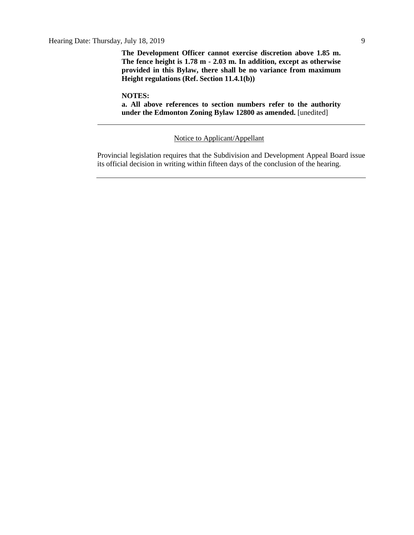Hearing Date: Thursday, July 18, 2019 9

**The Development Officer cannot exercise discretion above 1.85 m. The fence height is 1.78 m - 2.03 m. In addition, except as otherwise provided in this Bylaw, there shall be no variance from maximum Height regulations (Ref. Section 11.4.1(b))**

**NOTES:**

**a. All above references to section numbers refer to the authority under the Edmonton Zoning Bylaw 12800 as amended.** [unedited]

Notice to Applicant/Appellant

Provincial legislation requires that the Subdivision and Development Appeal Board issue its official decision in writing within fifteen days of the conclusion of the hearing.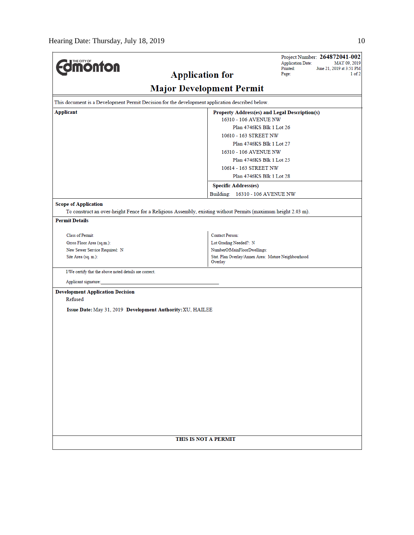|                                                                                                               |                                                                | Project Number: 264872041-002<br><b>Application Date:</b><br>MAY 09, 2019 |  |  |  |
|---------------------------------------------------------------------------------------------------------------|----------------------------------------------------------------|---------------------------------------------------------------------------|--|--|--|
| <b>dmonton</b>                                                                                                | <b>Application for</b>                                         | Printed:<br>June 21, 2019 at 3:51 PM<br>1 of 2<br>Page:                   |  |  |  |
|                                                                                                               |                                                                |                                                                           |  |  |  |
| <b>Major Development Permit</b>                                                                               |                                                                |                                                                           |  |  |  |
| This document is a Development Permit Decision for the development application described below.               |                                                                |                                                                           |  |  |  |
| <b>Applicant</b><br>Property Address(es) and Legal Description(s)                                             |                                                                |                                                                           |  |  |  |
| 16310 - 106 AVENUE NW                                                                                         |                                                                |                                                                           |  |  |  |
| Plan 4746KS Blk 1 Lot 26                                                                                      |                                                                |                                                                           |  |  |  |
| 10610 - 163 STREET NW<br>Plan 4746KS Blk 1 Lot 27                                                             |                                                                |                                                                           |  |  |  |
|                                                                                                               | 16310 - 106 AVENUE NW                                          |                                                                           |  |  |  |
|                                                                                                               | Plan 4746KS Blk 1 Lot 25                                       |                                                                           |  |  |  |
|                                                                                                               | 10614 - 163 STREET NW                                          |                                                                           |  |  |  |
|                                                                                                               | Plan 4746KS Blk 1 Lot 28                                       |                                                                           |  |  |  |
|                                                                                                               | <b>Specific Address(es)</b>                                    |                                                                           |  |  |  |
|                                                                                                               | Building: 16310 - 106 AVENUE NW                                |                                                                           |  |  |  |
| <b>Scope of Application</b>                                                                                   |                                                                |                                                                           |  |  |  |
| To construct an over-height Fence for a Religious Assembly, existing without Permits (maximum height 2.03 m). |                                                                |                                                                           |  |  |  |
| <b>Permit Details</b>                                                                                         |                                                                |                                                                           |  |  |  |
| Class of Permit:                                                                                              | <b>Contact Person:</b>                                         |                                                                           |  |  |  |
| Gross Floor Area (sq.m.):                                                                                     | Lot Grading Needed?: N                                         |                                                                           |  |  |  |
| New Sewer Service Required: N                                                                                 | NumberOfMainFloorDwellings:                                    |                                                                           |  |  |  |
| Site Area (sq. m.):                                                                                           | Stat. Plan Overlay/Annex Area: Mature Neighbourhood<br>Overlay |                                                                           |  |  |  |
| I/We certify that the above noted details are correct.                                                        |                                                                |                                                                           |  |  |  |
| Applicant signature:                                                                                          |                                                                |                                                                           |  |  |  |
| <b>Development Application Decision</b>                                                                       |                                                                |                                                                           |  |  |  |
| Refused                                                                                                       |                                                                |                                                                           |  |  |  |
| Issue Date: May 31, 2019 Development Authority: XU, HAILEE                                                    |                                                                |                                                                           |  |  |  |
|                                                                                                               |                                                                |                                                                           |  |  |  |
|                                                                                                               |                                                                |                                                                           |  |  |  |
|                                                                                                               |                                                                |                                                                           |  |  |  |
|                                                                                                               |                                                                |                                                                           |  |  |  |
|                                                                                                               |                                                                |                                                                           |  |  |  |
|                                                                                                               |                                                                |                                                                           |  |  |  |
|                                                                                                               |                                                                |                                                                           |  |  |  |
|                                                                                                               |                                                                |                                                                           |  |  |  |
|                                                                                                               |                                                                |                                                                           |  |  |  |
|                                                                                                               |                                                                |                                                                           |  |  |  |
|                                                                                                               |                                                                |                                                                           |  |  |  |
|                                                                                                               |                                                                |                                                                           |  |  |  |
|                                                                                                               |                                                                |                                                                           |  |  |  |
| THIS IS NOT A PERMIT                                                                                          |                                                                |                                                                           |  |  |  |
|                                                                                                               |                                                                |                                                                           |  |  |  |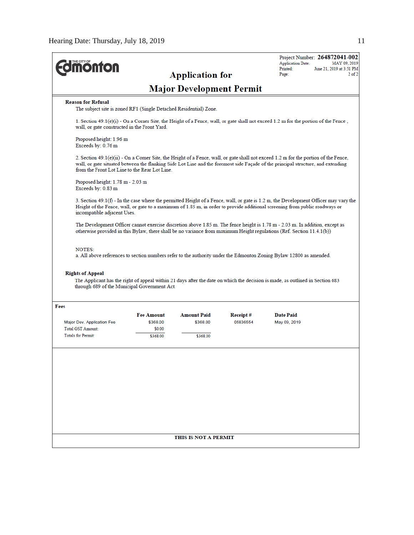| <b><i><u><u><b>MONTON</b></u></u></i></b>                                                      |                                         | <b>Application for</b>          |                      | Project Number: 264872041-002<br><b>Application Date:</b><br>MAY 09, 2019<br>Printed:<br>June 21, 2019 at 3:51 PM<br>$2$ of $2$<br>Page:                                                                                                                                   |
|------------------------------------------------------------------------------------------------|-----------------------------------------|---------------------------------|----------------------|----------------------------------------------------------------------------------------------------------------------------------------------------------------------------------------------------------------------------------------------------------------------------|
|                                                                                                |                                         | <b>Major Development Permit</b> |                      |                                                                                                                                                                                                                                                                            |
| <b>Reason for Refusal</b><br>The subject site is zoned RF1 (Single Detached Residential) Zone. |                                         |                                 |                      |                                                                                                                                                                                                                                                                            |
| wall, or gate constructed in the Front Yard.                                                   |                                         |                                 |                      | 1. Section 49.1(e)(i) - On a Corner Site, the Height of a Fence, wall, or gate shall not exceed 1.2 m for the portion of the Fence,                                                                                                                                        |
| Proposed height: 1.96 m<br>Exceeds by: 0.76 m                                                  |                                         |                                 |                      |                                                                                                                                                                                                                                                                            |
| from the Front Lot Line to the Rear Lot Line.                                                  |                                         |                                 |                      | 2. Section $49.1(e)(ii)$ - On a Corner Site, the Height of a Fence, wall, or gate shall not exceed 1.2 m for the portion of the Fence,<br>wall, or gate situated between the flanking Side Lot Line and the foremost side Façade of the principal structure, and extending |
| Proposed height: $1.78$ m $- 2.03$ m<br>Exceeds by: 0.83 m                                     |                                         |                                 |                      |                                                                                                                                                                                                                                                                            |
| incompatible adjacent Uses.                                                                    |                                         |                                 |                      | 3. Section 49.1(f) - In the case where the permitted Height of a Fence, wall, or gate is 1.2 m, the Development Officer may vary the<br>Height of the Fence, wall, or gate to a maximum of 1.85 m, in order to provide additional screening from public roadways or        |
|                                                                                                |                                         |                                 |                      | The Development Officer cannot exercise discretion above 1.85 m. The fence height is 1.78 m - 2.03 m. In addition, except as<br>otherwise provided in this Bylaw, there shall be no variance from maximum Height regulations (Ref. Section 11.4.1(b))                      |
| <b>NOTES:</b><br><b>Rights of Appeal</b><br>through 689 of the Municipal Government Act.       |                                         |                                 |                      | a. All above references to section numbers refer to the authority under the Edmonton Zoning Bylaw 12800 as amended.<br>The Applicant has the right of appeal within 21 days after the date on which the decision is made, as outlined in Section 683                       |
| <b>Fees</b>                                                                                    |                                         |                                 |                      |                                                                                                                                                                                                                                                                            |
| Major Dev. Application Fee<br><b>Total GST Amount:</b>                                         | <b>Fee Amount</b><br>\$368.00<br>\$0.00 | <b>Amount Paid</b><br>\$368.00  | Receipt#<br>05836554 | <b>Date Paid</b><br>May 09, 2019                                                                                                                                                                                                                                           |
| <b>Totals for Permit:</b>                                                                      | \$368.00                                | \$368.00                        |                      |                                                                                                                                                                                                                                                                            |
|                                                                                                |                                         |                                 |                      |                                                                                                                                                                                                                                                                            |
|                                                                                                |                                         |                                 |                      |                                                                                                                                                                                                                                                                            |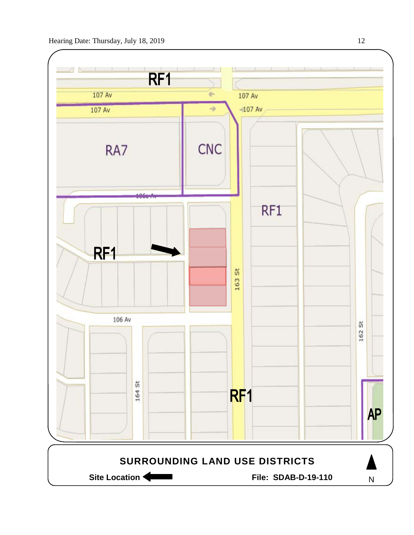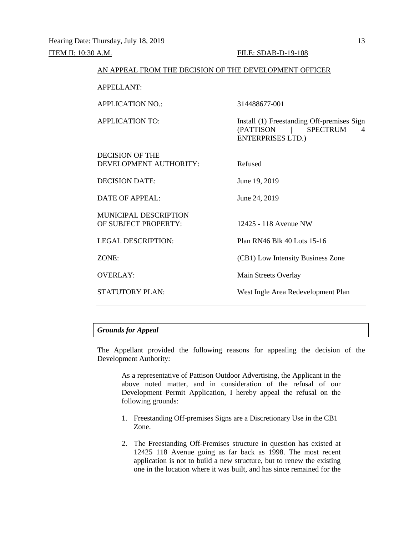| AN ALLEAL FROM THE DECISION OF THE DEVELOPMENT OFFICER |                                                                                                     |
|--------------------------------------------------------|-----------------------------------------------------------------------------------------------------|
| <b>APPELLANT:</b>                                      |                                                                                                     |
| <b>APPLICATION NO.:</b>                                | 314488677-001                                                                                       |
| APPLICATION TO:                                        | Install (1) Freestanding Off-premises Sign<br>(PATTISON   SPECTRUM<br>4<br><b>ENTERPRISES LTD.)</b> |
| DECISION OF THE<br>DEVELOPMENT AUTHORITY:              | Refused                                                                                             |
| <b>DECISION DATE:</b>                                  | June 19, 2019                                                                                       |
| DATE OF APPEAL:                                        | June 24, 2019                                                                                       |
| <b>MUNICIPAL DESCRIPTION</b><br>OF SUBJECT PROPERTY:   | 12425 - 118 Avenue NW                                                                               |
| <b>LEGAL DESCRIPTION:</b>                              | Plan RN46 Blk 40 Lots 15-16                                                                         |
| ZONE:                                                  | (CB1) Low Intensity Business Zone                                                                   |
| <b>OVERLAY:</b>                                        | Main Streets Overlay                                                                                |
| <b>STATUTORY PLAN:</b>                                 | West Ingle Area Redevelopment Plan                                                                  |

AN APPEAL FROM THE DECISION OF THE DEVELOPMENT OFFICER

# *Grounds for Appeal*

The Appellant provided the following reasons for appealing the decision of the Development Authority:

As a representative of Pattison Outdoor Advertising, the Applicant in the above noted matter, and in consideration of the refusal of our Development Permit Application, I hereby appeal the refusal on the following grounds:

- 1. Freestanding Off-premises Signs are a Discretionary Use in the CB1 Zone.
- 2. The Freestanding Off-Premises structure in question has existed at 12425 118 Avenue going as far back as 1998. The most recent application is not to build a new structure, but to renew the existing one in the location where it was built, and has since remained for the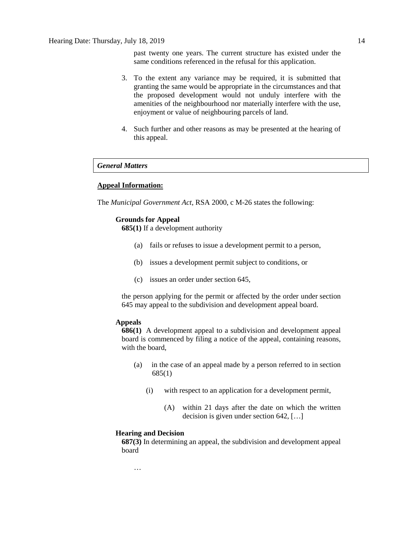past twenty one years. The current structure has existed under the same conditions referenced in the refusal for this application.

- 3. To the extent any variance may be required, it is submitted that granting the same would be appropriate in the circumstances and that the proposed development would not unduly interfere with the amenities of the neighbourhood nor materially interfere with the use, enjoyment or value of neighbouring parcels of land.
- 4. Such further and other reasons as may be presented at the hearing of this appeal.

# *General Matters*

# **Appeal Information:**

The *Municipal Government Act*, RSA 2000, c M-26 states the following:

# **Grounds for Appeal**

**685(1)** If a development authority

- (a) fails or refuses to issue a development permit to a person,
- (b) issues a development permit subject to conditions, or
- (c) issues an order under section 645,

the person applying for the permit or affected by the order under section 645 may appeal to the subdivision and development appeal board.

#### **Appeals**

**686(1)** A development appeal to a subdivision and development appeal board is commenced by filing a notice of the appeal, containing reasons, with the board,

- (a) in the case of an appeal made by a person referred to in section 685(1)
	- (i) with respect to an application for a development permit,
		- (A) within 21 days after the date on which the written decision is given under section 642, […]

#### **Hearing and Decision**

…

**687(3)** In determining an appeal, the subdivision and development appeal board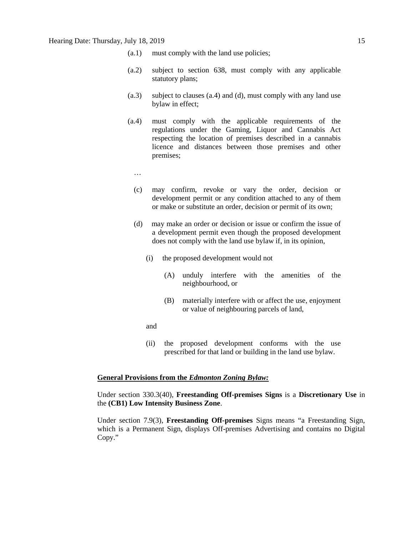- (a.1) must comply with the land use policies;
- (a.2) subject to section 638, must comply with any applicable statutory plans;
- (a.3) subject to clauses (a.4) and (d), must comply with any land use bylaw in effect;
- (a.4) must comply with the applicable requirements of the regulations under the Gaming, Liquor and Cannabis Act respecting the location of premises described in a cannabis licence and distances between those premises and other premises;
	- …
	- (c) may confirm, revoke or vary the order, decision or development permit or any condition attached to any of them or make or substitute an order, decision or permit of its own;
	- (d) may make an order or decision or issue or confirm the issue of a development permit even though the proposed development does not comply with the land use bylaw if, in its opinion,
		- (i) the proposed development would not
			- (A) unduly interfere with the amenities of the neighbourhood, or
			- (B) materially interfere with or affect the use, enjoyment or value of neighbouring parcels of land,
		- and
		- (ii) the proposed development conforms with the use prescribed for that land or building in the land use bylaw.

## **General Provisions from the** *Edmonton Zoning Bylaw:*

Under section 330.3(40), **Freestanding Off-premises Signs** is a **Discretionary Use** in the **(CB1) Low Intensity Business Zone**.

Under section 7.9(3), **Freestanding Off-premises** Signs means "a Freestanding Sign, which is a Permanent Sign, displays Off-premises Advertising and contains no Digital Copy."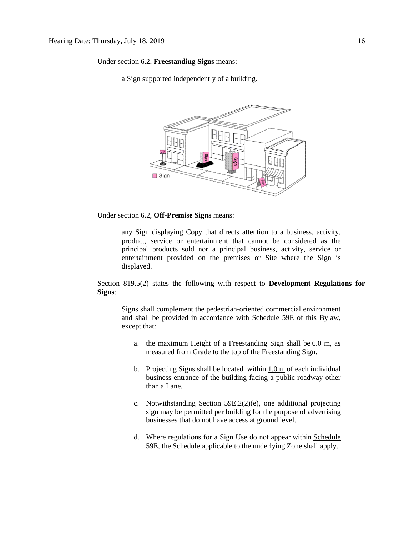Under section 6.2, **Freestanding Signs** means:

a Sign supported independently of a building.



Under section 6.2, **Off-Premise Signs** means:

any Sign displaying Copy that directs attention to a business, activity, product, service or entertainment that cannot be considered as the principal products sold nor a principal business, activity, service or entertainment provided on the premises or Site where the Sign is displayed.

Section 819.5(2) states the following with respect to **Development Regulations for Signs**:

Signs shall complement the pedestrian-oriented commercial environment and shall be provided in accordance with Schedule 59E of this Bylaw, except that:

- a. the maximum Height of a Freestanding Sign shall be [6.0 m,](javascript:void(0);) as measured from Grade to the top of the Freestanding Sign.
- b. Projecting Signs shall be located within [1.0 m](javascript:void(0);) of each individual business entrance of the building facing a public roadway other than a Lane.
- c. Notwithstanding Section 59E.2(2)(e), one additional projecting sign may be permitted per building for the purpose of advertising businesses that do not have access at ground level.
- d. Where regulations for a Sign Use do not appear within [Schedule](javascript:void(0);)  [59E,](javascript:void(0);) the Schedule applicable to the underlying Zone shall apply.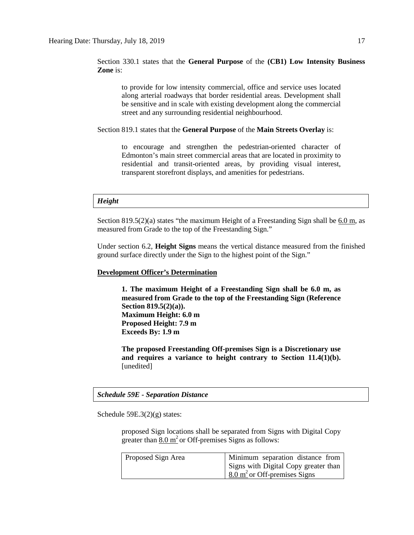Section 330.1 states that the **General Purpose** of the **(CB1) Low Intensity Business Zone** is:

to provide for low intensity commercial, office and service uses located along arterial roadways that border residential areas. Development shall be sensitive and in scale with existing development along the commercial street and any surrounding residential neighbourhood.

Section 819.1 states that the **General Purpose** of the **Main Streets Overlay** is:

to encourage and strengthen the pedestrian-oriented character of Edmonton's main street commercial areas that are located in proximity to residential and transit-oriented areas, by providing visual interest, transparent storefront displays, and amenities for pedestrians.

# *Height*

Section  $819.5(2)(a)$  states "the maximum Height of a Freestanding Sign shall be [6.0 m,](javascript:void(0);) as measured from Grade to the top of the Freestanding Sign."

Under section 6.2, **Height Signs** means the vertical distance measured from the finished ground surface directly under the Sign to the highest point of the Sign."

#### **Development Officer's Determination**

**1. The maximum Height of a Freestanding Sign shall be 6.0 m, as measured from Grade to the top of the Freestanding Sign (Reference Section 819.5(2)(a)). Maximum Height: 6.0 m Proposed Height: 7.9 m Exceeds By: 1.9 m**

**The proposed Freestanding Off-premises Sign is a Discretionary use and requires a variance to height contrary to Section 11.4(1)(b).** [unedited]

*Schedule 59E - Separation Distance*

Schedule 59E.3(2)(g) states:

proposed Sign locations shall be separated from Signs with Digital Copy greater than  $8.0 \text{ m}^2$  or Off-premises Signs as follows:

| Proposed Sign Area | Minimum separation distance from                  |
|--------------------|---------------------------------------------------|
|                    | Signs with Digital Copy greater than              |
|                    | $\frac{8.0 \text{ m}^2}{2}$ or Off-premises Signs |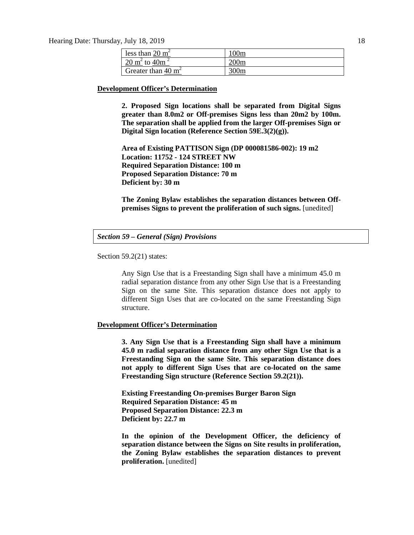Hearing Date: Thursday, July 18, 2019 18

| less than $20 \text{ m}^2$            | 100m |
|---------------------------------------|------|
| 20 m <sup>2</sup> to 40m <sup>2</sup> | 200m |
| Greater than $40 \text{ m}^2$         | 300m |

#### **Development Officer's Determination**

**2. Proposed Sign locations shall be separated from Digital Signs greater than 8.0m2 or Off-premises Signs less than 20m2 by 100m. The separation shall be applied from the larger Off-premises Sign or Digital Sign location (Reference Section 59E.3(2)(g)).**

**Area of Existing PATTISON Sign (DP 000081586-002): 19 m2 Location: 11752 - 124 STREET NW Required Separation Distance: 100 m Proposed Separation Distance: 70 m Deficient by: 30 m**

**The Zoning Bylaw establishes the separation distances between Offpremises Signs to prevent the proliferation of such signs.** [unedited]

Section 59.2(21) states:

Any Sign Use that is a Freestanding Sign shall have a minimum 45.0 m radial separation distance from any other Sign Use that is a Freestanding Sign on the same Site. This separation distance does not apply to different Sign Uses that are co-located on the same Freestanding Sign structure.

#### **Development Officer's Determination**

**3. Any Sign Use that is a Freestanding Sign shall have a minimum 45.0 m radial separation distance from any other Sign Use that is a Freestanding Sign on the same Site. This separation distance does not apply to different Sign Uses that are co-located on the same Freestanding Sign structure (Reference Section 59.2(21)).**

**Existing Freestanding On-premises Burger Baron Sign Required Separation Distance: 45 m Proposed Separation Distance: 22.3 m Deficient by: 22.7 m**

**In the opinion of the Development Officer, the deficiency of separation distance between the Signs on Site results in proliferation, the Zoning Bylaw establishes the separation distances to prevent proliferation.** [unedited]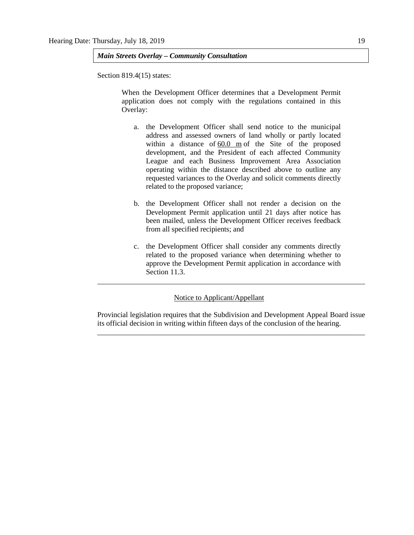*Main Streets Overlay – Community Consultation*

Section 819.4(15) states:

When the Development Officer determines that a Development Permit application does not comply with the regulations contained in this Overlay:

- a. the Development Officer shall send notice to the municipal address and assessed owners of land wholly or partly located within a distance of [60.0 m](javascript:void(0);) of the Site of the proposed development, and the President of each affected Community League and each Business Improvement Area Association operating within the distance described above to outline any requested variances to the Overlay and solicit comments directly related to the proposed variance;
- b. the Development Officer shall not render a decision on the Development Permit application until 21 days after notice has been mailed, unless the Development Officer receives feedback from all specified recipients; and
- c. the Development Officer shall consider any comments directly related to the proposed variance when determining whether to approve the Development Permit application in accordance with Section 11.3.

# Notice to Applicant/Appellant

Provincial legislation requires that the Subdivision and Development Appeal Board issue its official decision in writing within fifteen days of the conclusion of the hearing. \_\_\_\_\_\_\_\_\_\_\_\_\_\_\_\_\_\_\_\_\_\_\_\_\_\_\_\_\_\_\_\_\_\_\_\_\_\_\_\_\_\_\_\_\_\_\_\_\_\_\_\_\_\_\_\_\_\_\_\_\_\_\_\_\_\_\_\_\_\_\_\_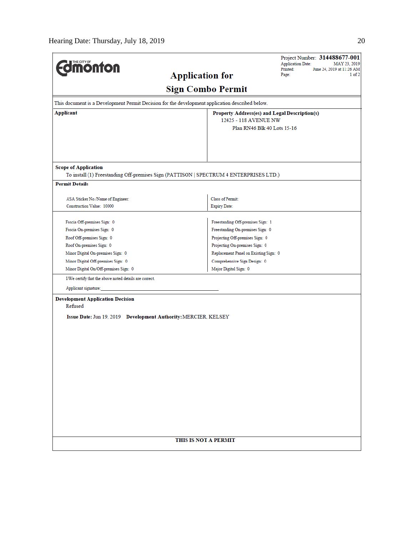| <b>Umönton</b>                                                    |                                                                                                 | Project Number: 314488677-001<br><b>Application Date:</b><br>MAY 23, 2019<br>Printed:<br>June 24, 2019 at 11:26 AM |  |  |  |
|-------------------------------------------------------------------|-------------------------------------------------------------------------------------------------|--------------------------------------------------------------------------------------------------------------------|--|--|--|
|                                                                   | Page:<br>1 of 2                                                                                 |                                                                                                                    |  |  |  |
|                                                                   | <b>Sign Combo Permit</b>                                                                        |                                                                                                                    |  |  |  |
|                                                                   | This document is a Development Permit Decision for the development application described below. |                                                                                                                    |  |  |  |
| <b>Applicant</b><br>Property Address(es) and Legal Description(s) |                                                                                                 |                                                                                                                    |  |  |  |
| 12425 - 118 AVENUE NW<br>Plan RN46 Blk 40 Lots 15-16              |                                                                                                 |                                                                                                                    |  |  |  |
|                                                                   |                                                                                                 |                                                                                                                    |  |  |  |
|                                                                   |                                                                                                 |                                                                                                                    |  |  |  |
| <b>Scope of Application</b>                                       |                                                                                                 |                                                                                                                    |  |  |  |
|                                                                   | To install (1) Freestanding Off-premises Sign (PATTISON   SPECTRUM 4 ENTERPRISES LTD.)          |                                                                                                                    |  |  |  |
| <b>Permit Details</b>                                             |                                                                                                 |                                                                                                                    |  |  |  |
| ASA Sticker No./Name of Engineer:                                 | Class of Permit:                                                                                |                                                                                                                    |  |  |  |
| Construction Value: 10000                                         | <b>Expiry Date:</b>                                                                             |                                                                                                                    |  |  |  |
|                                                                   |                                                                                                 |                                                                                                                    |  |  |  |
| Fascia Off-premises Sign: 0                                       | Freestanding Off-premises Sign: 1                                                               |                                                                                                                    |  |  |  |
| Fascia On-premises Sign: 0                                        | Freestanding On-premises Sign: 0                                                                |                                                                                                                    |  |  |  |
| Roof Off-premises Sign: 0                                         | Projecting Off-premises Sign: 0                                                                 |                                                                                                                    |  |  |  |
| Roof On-premises Sign: 0                                          | Projecting On-premises Sign: 0                                                                  |                                                                                                                    |  |  |  |
| Minor Digital On-premises Sign: 0                                 | Replacement Panel on Existing Sign: 0                                                           |                                                                                                                    |  |  |  |
| Minor Digital Off-premises Sign: 0                                | Comprehensive Sign Design: 0                                                                    |                                                                                                                    |  |  |  |
| Major Digital Sign: 0<br>Minor Digital On/Off-premises Sign: 0    |                                                                                                 |                                                                                                                    |  |  |  |
| I/We certify that the above noted details are correct.            |                                                                                                 |                                                                                                                    |  |  |  |
| Applicant signature:                                              |                                                                                                 |                                                                                                                    |  |  |  |
| <b>Development Application Decision</b>                           |                                                                                                 |                                                                                                                    |  |  |  |
| Refused                                                           |                                                                                                 |                                                                                                                    |  |  |  |
|                                                                   | Issue Date: Jun 19, 2019 Development Authority: MERCIER, KELSEY                                 |                                                                                                                    |  |  |  |
|                                                                   |                                                                                                 |                                                                                                                    |  |  |  |
|                                                                   |                                                                                                 |                                                                                                                    |  |  |  |
|                                                                   |                                                                                                 |                                                                                                                    |  |  |  |
|                                                                   |                                                                                                 |                                                                                                                    |  |  |  |
|                                                                   |                                                                                                 |                                                                                                                    |  |  |  |
|                                                                   |                                                                                                 |                                                                                                                    |  |  |  |
|                                                                   |                                                                                                 |                                                                                                                    |  |  |  |
|                                                                   |                                                                                                 |                                                                                                                    |  |  |  |
|                                                                   |                                                                                                 |                                                                                                                    |  |  |  |
|                                                                   |                                                                                                 |                                                                                                                    |  |  |  |
|                                                                   |                                                                                                 |                                                                                                                    |  |  |  |
|                                                                   |                                                                                                 |                                                                                                                    |  |  |  |
|                                                                   |                                                                                                 |                                                                                                                    |  |  |  |
|                                                                   |                                                                                                 |                                                                                                                    |  |  |  |
|                                                                   | THIS IS NOT A PERMIT                                                                            |                                                                                                                    |  |  |  |
|                                                                   |                                                                                                 |                                                                                                                    |  |  |  |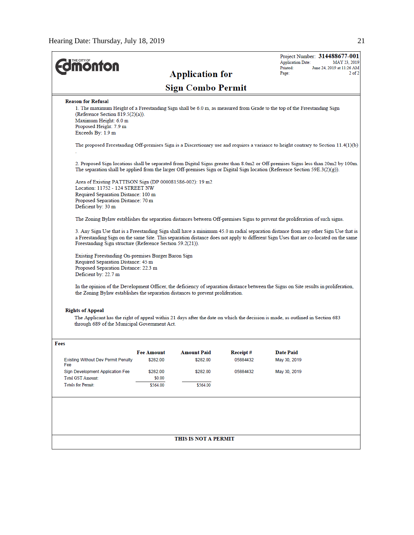$\overline{a}$ 

| <b><i><u><b>Inonton</b></u></i></b>                                                                                                                                                                                                                                                                                                     |                                                                                                                                                                                                                         |                        |          | <b>Application Date:</b> | Project Number: 314488677-001<br>MAY 23, 2019 |  |  |
|-----------------------------------------------------------------------------------------------------------------------------------------------------------------------------------------------------------------------------------------------------------------------------------------------------------------------------------------|-------------------------------------------------------------------------------------------------------------------------------------------------------------------------------------------------------------------------|------------------------|----------|--------------------------|-----------------------------------------------|--|--|
|                                                                                                                                                                                                                                                                                                                                         |                                                                                                                                                                                                                         | <b>Application for</b> |          | Printed:<br>Page:        | June 24, 2019 at 11:26 AM<br>$2$ of $2$       |  |  |
| <b>Sign Combo Permit</b>                                                                                                                                                                                                                                                                                                                |                                                                                                                                                                                                                         |                        |          |                          |                                               |  |  |
| <b>Reason for Refusal</b>                                                                                                                                                                                                                                                                                                               |                                                                                                                                                                                                                         |                        |          |                          |                                               |  |  |
| 1. The maximum Height of a Freestanding Sign shall be 6.0 m, as measured from Grade to the top of the Freestanding Sign<br>(Reference Section 819.5 $(2)(a)$ ).<br>Maximum Height: 6.0 m<br>Proposed Height: 7.9 m<br>Exceeds By: 1.9 m                                                                                                 |                                                                                                                                                                                                                         |                        |          |                          |                                               |  |  |
| The proposed Freestanding Off-premises Sign is a Discretionary use and requires a variance to height contrary to Section 11.4(1)(b)                                                                                                                                                                                                     |                                                                                                                                                                                                                         |                        |          |                          |                                               |  |  |
| 2. Proposed Sign locations shall be separated from Digital Signs greater than 8.0m2 or Off-premises Signs less than 20m2 by 100m.<br>The separation shall be applied from the larger Off-premises Sign or Digital Sign location (Reference Section 59E.3(2)(g)).                                                                        |                                                                                                                                                                                                                         |                        |          |                          |                                               |  |  |
| Area of Existing PATTISON Sign (DP 000081586-002): 19 m2                                                                                                                                                                                                                                                                                |                                                                                                                                                                                                                         |                        |          |                          |                                               |  |  |
| Location: 11752 - 124 STREET NW<br>Required Separation Distance: 100 m                                                                                                                                                                                                                                                                  |                                                                                                                                                                                                                         |                        |          |                          |                                               |  |  |
| Proposed Separation Distance: 70 m                                                                                                                                                                                                                                                                                                      |                                                                                                                                                                                                                         |                        |          |                          |                                               |  |  |
| Deficient by: 30 m                                                                                                                                                                                                                                                                                                                      |                                                                                                                                                                                                                         |                        |          |                          |                                               |  |  |
| The Zoning Bylaw establishes the separation distances between Off-premises Signs to prevent the proliferation of such signs.                                                                                                                                                                                                            |                                                                                                                                                                                                                         |                        |          |                          |                                               |  |  |
| 3. Any Sign Use that is a Freestanding Sign shall have a minimum 45.0 m radial separation distance from any other Sign Use that is<br>a Freestanding Sign on the same Site. This separation distance does not apply to different Sign Uses that are co-located on the same<br>Freestanding Sign structure (Reference Section 59.2(21)). |                                                                                                                                                                                                                         |                        |          |                          |                                               |  |  |
| Deficient by: 22.7 m                                                                                                                                                                                                                                                                                                                    | Existing Freestanding On-premises Burger Baron Sign<br>Required Separation Distance: 45 m<br>Proposed Separation Distance: 22.3 m                                                                                       |                        |          |                          |                                               |  |  |
|                                                                                                                                                                                                                                                                                                                                         | In the opinion of the Development Officer, the deficiency of separation distance between the Signs on Site results in proliferation,<br>the Zoning Bylaw establishes the separation distances to prevent proliferation. |                        |          |                          |                                               |  |  |
| <b>Rights of Appeal</b>                                                                                                                                                                                                                                                                                                                 |                                                                                                                                                                                                                         |                        |          |                          |                                               |  |  |
| The Applicant has the right of appeal within 21 days after the date on which the decision is made, as outlined in Section 683<br>through 689 of the Municipal Government Act.                                                                                                                                                           |                                                                                                                                                                                                                         |                        |          |                          |                                               |  |  |
| Fees                                                                                                                                                                                                                                                                                                                                    |                                                                                                                                                                                                                         |                        |          |                          |                                               |  |  |
|                                                                                                                                                                                                                                                                                                                                         | <b>Fee Amount</b>                                                                                                                                                                                                       | <b>Amount Paid</b>     | Receipt# | <b>Date Paid</b>         |                                               |  |  |
| <b>Existing Without Dev Permit Penalty</b><br>Fee                                                                                                                                                                                                                                                                                       | \$282.00                                                                                                                                                                                                                | \$282.00               | 05884432 | May 30, 2019             |                                               |  |  |
| Sign Development Application Fee                                                                                                                                                                                                                                                                                                        | \$282.00                                                                                                                                                                                                                | \$282.00               | 05884432 | May 30, 2019             |                                               |  |  |
| <b>Total GST Amount:</b>                                                                                                                                                                                                                                                                                                                | \$0.00                                                                                                                                                                                                                  |                        |          |                          |                                               |  |  |
| <b>Totals for Permit:</b>                                                                                                                                                                                                                                                                                                               | \$564.00                                                                                                                                                                                                                | \$564.00               |          |                          |                                               |  |  |
|                                                                                                                                                                                                                                                                                                                                         |                                                                                                                                                                                                                         |                        |          |                          |                                               |  |  |
|                                                                                                                                                                                                                                                                                                                                         |                                                                                                                                                                                                                         |                        |          |                          |                                               |  |  |
|                                                                                                                                                                                                                                                                                                                                         |                                                                                                                                                                                                                         | THIS IS NOT A PERMIT   |          |                          |                                               |  |  |
|                                                                                                                                                                                                                                                                                                                                         |                                                                                                                                                                                                                         |                        |          |                          |                                               |  |  |